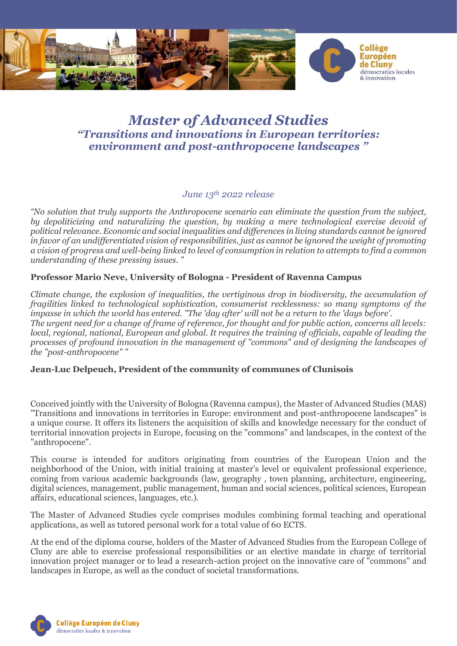

## *Master of Advanced Studies "Transitions and innovations in European territories: environment and post-anthropocene landscapes "*

## *June 13th 2022 release*

*"No solution that truly supports the Anthropocene scenario can eliminate the question from the subject, by depoliticizing and naturalizing the question, by making a mere technological exercise devoid of political relevance. Economic and social inequalities and differences in living standards cannot be ignored in favor of an undifferentiated vision of responsibilities, just as cannot be ignored the weight of promoting a vision of progress and well-being linked to level of consumption in relation to attempts to find a common understanding of these pressing issues. "*

## **Professor Mario Neve, University of Bologna - President of Ravenna Campus**

*Climate change, the explosion of inequalities, the vertiginous drop in biodiversity, the accumulation of fragilities linked to technological sophistication, consumerist recklessness: so many symptoms of the impasse in which the world has entered. "The 'day after' will not be a return to the 'days before'. The urgent need for a change of frame of reference, for thought and for public action, concerns all levels: local, regional, national, European and global. It requires the training of officials, capable of leading the processes of profound innovation in the management of "commons" and of designing the landscapes of the "post-anthropocene" "*

## **Jean-Luc Delpeuch, President of the community of communes of Clunisois**

Conceived jointly with the University of Bologna (Ravenna campus), the Master of Advanced Studies (MAS) "Transitions and innovations in territories in Europe: environment and post-anthropocene landscapes" is a unique course. It offers its listeners the acquisition of skills and knowledge necessary for the conduct of territorial innovation projects in Europe, focusing on the "commons" and landscapes, in the context of the "anthropocene".

This course is intended for auditors originating from countries of the European Union and the neighborhood of the Union, with initial training at master's level or equivalent professional experience, coming from various academic backgrounds (law, geography , town planning, architecture, engineering, digital sciences, management, public management, human and social sciences, political sciences, European affairs, educational sciences, languages, etc.).

The Master of Advanced Studies cycle comprises modules combining formal teaching and operational applications, as well as tutored personal work for a total value of 60 ECTS.

At the end of the diploma course, holders of the Master of Advanced Studies from the European College of Cluny are able to exercise professional responsibilities or an elective mandate in charge of territorial innovation project manager or to lead a research-action project on the innovative care of "commons" and landscapes in Europe, as well as the conduct of societal transformations.

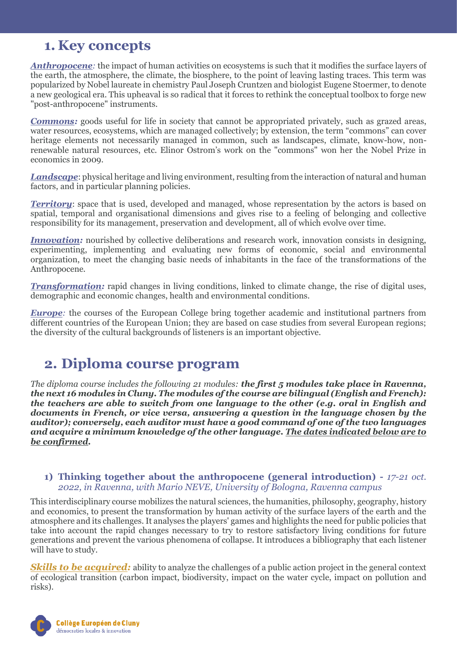## **1. Key concepts**

*Anthropocene:* the impact of human activities on ecosystems is such that it modifies the surface layers of the earth, the atmosphere, the climate, the biosphere, to the point of leaving lasting traces. This term was popularized by Nobel laureate in chemistry Paul Joseph Cruntzen and biologist Eugene Stoermer, to denote a new geological era. This upheaval is so radical that it forces to rethink the conceptual toolbox to forge new "post-anthropocene" instruments.

**Commons:** goods useful for life in society that cannot be appropriated privately, such as grazed areas, water resources, ecosystems, which are managed collectively; by extension, the term "commons" can cover heritage elements not necessarily managed in common, such as landscapes, climate, know-how, nonrenewable natural resources, etc. Elinor Ostrom's work on the "commons" won her the Nobel Prize in economics in 2009.

*Landscape*: physical heritage and living environment, resulting from the interaction of natural and human factors, and in particular planning policies.

**Territory**: space that is used, developed and managed, whose representation by the actors is based on spatial, temporal and organisational dimensions and gives rise to a feeling of belonging and collective responsibility for its management, preservation and development, all of which evolve over time.

*Innovation:* nourished by collective deliberations and research work, innovation consists in designing, experimenting, implementing and evaluating new forms of economic, social and environmental organization, to meet the changing basic needs of inhabitants in the face of the transformations of the Anthropocene.

*Transformation:* rapid changes in living conditions, linked to climate change, the rise of digital uses, demographic and economic changes, health and environmental conditions.

*Europe*: the courses of the European College bring together academic and institutional partners from different countries of the European Union; they are based on case studies from several European regions; the diversity of the cultural backgrounds of listeners is an important objective.

# **2. Diploma course program**

*The diploma course includes the following 21 modules: the first 5 modules take place in Ravenna, the next 16 modules in Cluny. The modules of the course are bilingual (English and French): the teachers are able to switch from one language to the other (e.g. oral in English and documents in French, or vice versa, answering a question in the language chosen by the auditor); conversely, each auditor must have a good command of one of the two languages and acquire a minimum knowledge of the other language. The dates indicated below are to be confirmed.*

## **1) Thinking together about the anthropocene (general introduction) -** *17-21 oct. 2022, in Ravenna, with Mario NEVE, University of Bologna, Ravenna campus*

This interdisciplinary course mobilizes the natural sciences, the humanities, philosophy, geography, history and economics, to present the transformation by human activity of the surface layers of the earth and the atmosphere and its challenges. It analyses the players' games and highlights the need for public policies that take into account the rapid changes necessary to try to restore satisfactory living conditions for future generations and prevent the various phenomena of collapse. It introduces a bibliography that each listener will have to study.

*Skills to be acquired:* ability to analyze the challenges of a public action project in the general context of ecological transition (carbon impact, biodiversity, impact on the water cycle, impact on pollution and risks).

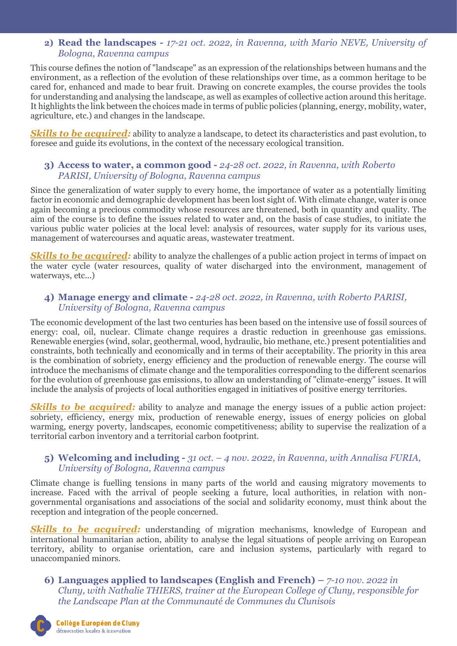## **2) Read the landscapes -** *17-21 oct. 2022, in Ravenna, with Mario NEVE, University of Bologna, Ravenna campus*

This course defines the notion of "landscape" as an expression of the relationships between humans and the environment, as a reflection of the evolution of these relationships over time, as a common heritage to be cared for, enhanced and made to bear fruit. Drawing on concrete examples, the course provides the tools for understanding and analysing the landscape, as well as examples of collective action around this heritage. It highlights the link between the choices made in terms of public policies (planning, energy, mobility, water, agriculture, etc.) and changes in the landscape.

*Skills to be acquired:* ability to analyze a landscape, to detect its characteristics and past evolution, to foresee and guide its evolutions, in the context of the necessary ecological transition.

## **3) Access to water, a common good -** *24-28 oct. 2022, in Ravenna, with Roberto PARISI, University of Bologna, Ravenna campus*

Since the generalization of water supply to every home, the importance of water as a potentially limiting factor in economic and demographic development has been lost sight of. With climate change, water is once again becoming a precious commodity whose resources are threatened, both in quantity and quality. The aim of the course is to define the issues related to water and, on the basis of case studies, to initiate the various public water policies at the local level: analysis of resources, water supply for its various uses, management of watercourses and aquatic areas, wastewater treatment.

**Skills to be acquired:** ability to analyze the challenges of a public action project in terms of impact on the water cycle (water resources, quality of water discharged into the environment, management of waterways, etc...)

## **4) Manage energy and climate -** *24-28 oct. 2022, in Ravenna, with Roberto PARISI, University of Bologna, Ravenna campus*

The economic development of the last two centuries has been based on the intensive use of fossil sources of energy: coal, oil, nuclear. Climate change requires a drastic reduction in greenhouse gas emissions. Renewable energies (wind, solar, geothermal, wood, hydraulic, bio methane, etc.) present potentialities and constraints, both technically and economically and in terms of their acceptability. The priority in this area is the combination of sobriety, energy efficiency and the production of renewable energy. The course will introduce the mechanisms of climate change and the temporalities corresponding to the different scenarios for the evolution of greenhouse gas emissions, to allow an understanding of "climate-energy" issues. It will include the analysis of projects of local authorities engaged in initiatives of positive energy territories.

**Skills to be acquired:** ability to analyze and manage the energy issues of a public action project: sobriety, efficiency, energy mix, production of renewable energy, issues of energy policies on global warming, energy poverty, landscapes, economic competitiveness; ability to supervise the realization of a territorial carbon inventory and a territorial carbon footprint.

## **5) Welcoming and including -** *31 oct. – 4 nov. 2022, in Ravenna, with Annalisa FURIA, University of Bologna, Ravenna campus*

Climate change is fuelling tensions in many parts of the world and causing migratory movements to increase. Faced with the arrival of people seeking a future, local authorities, in relation with nongovernmental organisations and associations of the social and solidarity economy, must think about the reception and integration of the people concerned.

**Skills to be acquired:** understanding of migration mechanisms, knowledge of European and international humanitarian action, ability to analyse the legal situations of people arriving on European territory, ability to organise orientation, care and inclusion systems, particularly with regard to unaccompanied minors.

**6) Languages applied to landscapes (English and French) –** *7-10 nov. 2022 in Cluny, with Nathalie THIERS, trainer at the European College of Cluny, responsible for the Landscape Plan at the Communauté de Communes du Clunisois*

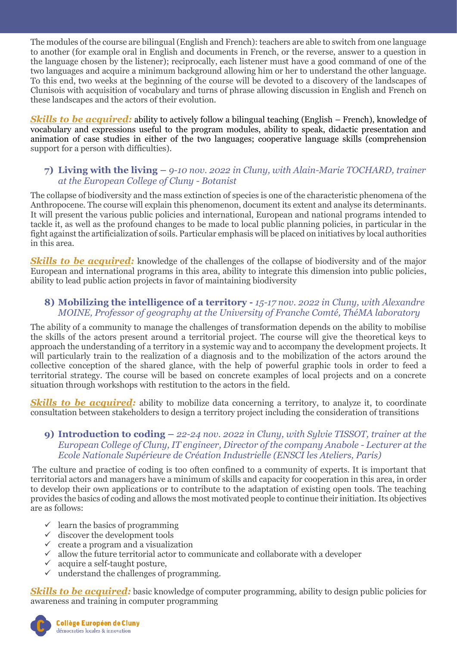The modules of the course are bilingual (English and French): teachers are able to switch from one language to another (for example oral in English and documents in French, or the reverse, answer to a question in the language chosen by the listener); reciprocally, each listener must have a good command of one of the two languages and acquire a minimum background allowing him or her to understand the other language. To this end, two weeks at the beginning of the course will be devoted to a discovery of the landscapes of Clunisois with acquisition of vocabulary and turns of phrase allowing discussion in English and French on these landscapes and the actors of their evolution.

*Skills to be acquired:* ability to actively follow a bilingual teaching (English – French), knowledge of vocabulary and expressions useful to the program modules, ability to speak, didactic presentation and animation of case studies in either of the two languages; cooperative language skills (comprehension support for a person with difficulties).

## **7) Living with the living –** *9-10 nov. 2022 in Cluny, with Alain-Marie TOCHARD, trainer at the European College of Cluny - Botanist*

The collapse of biodiversity and the mass extinction of species is one of the characteristic phenomena of the Anthropocene. The course will explain this phenomenon, document its extent and analyse its determinants. It will present the various public policies and international, European and national programs intended to tackle it, as well as the profound changes to be made to local public planning policies, in particular in the fight against the artificialization of soils. Particular emphasis will be placed on initiatives by local authorities in this area.

**Skills to be acquired:** knowledge of the challenges of the collapse of biodiversity and of the major European and international programs in this area, ability to integrate this dimension into public policies, ability to lead public action projects in favor of maintaining biodiversity

## **8) Mobilizing the intelligence of a territory -** *15-17 nov. 2022 in Cluny, with Alexandre MOINE, Professor of geography at the University of Franche Comté, ThéMA laboratory*

The ability of a community to manage the challenges of transformation depends on the ability to mobilise the skills of the actors present around a territorial project. The course will give the theoretical keys to approach the understanding of a territory in a systemic way and to accompany the development projects. It will particularly train to the realization of a diagnosis and to the mobilization of the actors around the collective conception of the shared glance, with the help of powerful graphic tools in order to feed a territorial strategy. The course will be based on concrete examples of local projects and on a concrete situation through workshops with restitution to the actors in the field.

*Skills to be acquired:* ability to mobilize data concerning a territory, to analyze it, to coordinate consultation between stakeholders to design a territory project including the consideration of transitions

## **9) Introduction to coding –** *22-24 nov. 2022 in Cluny, with Sylvie TISSOT, trainer at the European College of Cluny, IT engineer, Director of the company Anabole - Lecturer at the Ecole Nationale Supérieure de Création Industrielle (ENSCI les Ateliers, Paris)*

The culture and practice of coding is too often confined to a community of experts. It is important that territorial actors and managers have a minimum of skills and capacity for cooperation in this area, in order to develop their own applications or to contribute to the adaptation of existing open tools. The teaching provides the basics of coding and allows the most motivated people to continue their initiation. Its objectives are as follows:

- $\checkmark$  learn the basics of programming
- $\checkmark$  discover the development tools
- $\checkmark$  create a program and a visualization
- $\checkmark$  allow the future territorial actor to communicate and collaborate with a developer
- $\checkmark$  acquire a self-taught posture,
- $\checkmark$  understand the challenges of programming.

**Skills to be acquired:** basic knowledge of computer programming, ability to design public policies for awareness and training in computer programming

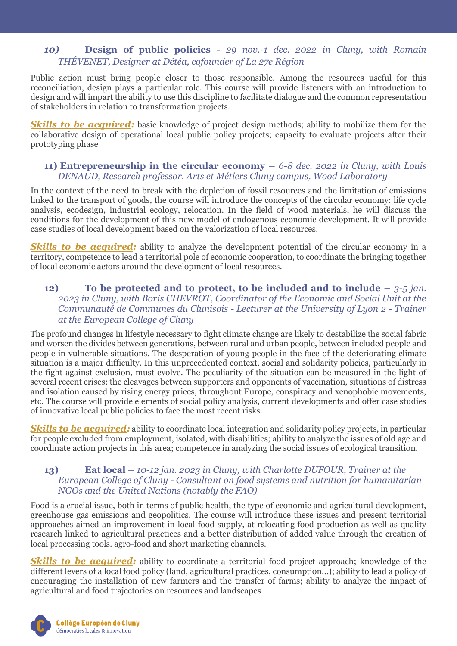## *10)* **Design of public policies -** *29 nov.-1 dec. 2022 in Cluny, with Romain THÉVENET, Designer at Détéa, cofounder of La 27e Région*

Public action must bring people closer to those responsible. Among the resources useful for this reconciliation, design plays a particular role. This course will provide listeners with an introduction to design and will impart the ability to use this discipline to facilitate dialogue and the common representation of stakeholders in relation to transformation projects.

**Skills to be acquired:** basic knowledge of project design methods; ability to mobilize them for the collaborative design of operational local public policy projects; capacity to evaluate projects after their prototyping phase

## **11) Entrepreneurship in the circular economy –** *6-8 dec. 2022 in Cluny, with Louis DENAUD, Research professor, Arts et Métiers Cluny campus, Wood Laboratory*

In the context of the need to break with the depletion of fossil resources and the limitation of emissions linked to the transport of goods, the course will introduce the concepts of the circular economy: life cycle analysis, ecodesign, industrial ecology, relocation. In the field of wood materials, he will discuss the conditions for the development of this new model of endogenous economic development. It will provide case studies of local development based on the valorization of local resources.

**Skills to be acquired:** ability to analyze the development potential of the circular economy in a territory, competence to lead a territorial pole of economic cooperation, to coordinate the bringing together of local economic actors around the development of local resources.

## **12) To be protected and to protect, to be included and to include**  $-3.5$  **jan.** *2023 in Cluny, with Boris CHEVROT, Coordinator of the Economic and Social Unit at the Communauté de Communes du Clunisois - Lecturer at the University of Lyon 2 - Trainer at the European College of Cluny*

The profound changes in lifestyle necessary to fight climate change are likely to destabilize the social fabric and worsen the divides between generations, between rural and urban people, between included people and people in vulnerable situations. The desperation of young people in the face of the deteriorating climate situation is a major difficulty. In this unprecedented context, social and solidarity policies, particularly in the fight against exclusion, must evolve. The peculiarity of the situation can be measured in the light of several recent crises: the cleavages between supporters and opponents of vaccination, situations of distress and isolation caused by rising energy prices, throughout Europe, conspiracy and xenophobic movements, etc. The course will provide elements of social policy analysis, current developments and offer case studies of innovative local public policies to face the most recent risks.

*Skills to be acquired:* ability to coordinate local integration and solidarity policy projects, in particular for people excluded from employment, isolated, with disabilities; ability to analyze the issues of old age and coordinate action projects in this area; competence in analyzing the social issues of ecological transition.

## **13) Eat local –** *10-12 jan. 2023 in Cluny, with Charlotte DUFOUR, Trainer at the European College of Cluny - Consultant on food systems and nutrition for humanitarian NGOs and the United Nations (notably the FAO)*

Food is a crucial issue, both in terms of public health, the type of economic and agricultural development, greenhouse gas emissions and geopolitics. The course will introduce these issues and present territorial approaches aimed an improvement in local food supply, at relocating food production as well as quality research linked to agricultural practices and a better distribution of added value through the creation of local processing tools. agro-food and short marketing channels.

*Skills to be acquired:* ability to coordinate a territorial food project approach; knowledge of the different levers of a local food policy (land, agricultural practices, consumption...); ability to lead a policy of encouraging the installation of new farmers and the transfer of farms; ability to analyze the impact of agricultural and food trajectories on resources and landscapes

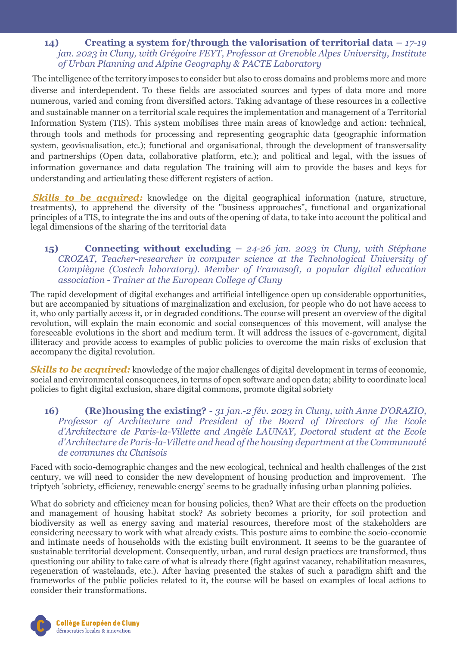## **14) Creating a system for/through the valorisation of territorial data –** *17-19 jan. 2023 in Cluny, with Grégoire FEYT, Professor at Grenoble Alpes University, Institute of Urban Planning and Alpine Geography & PACTE Laboratory*

The intelligence of the territory imposes to consider but also to cross domains and problems more and more diverse and interdependent. To these fields are associated sources and types of data more and more numerous, varied and coming from diversified actors. Taking advantage of these resources in a collective and sustainable manner on a territorial scale requires the implementation and management of a Territorial Information System (TIS). This system mobilises three main areas of knowledge and action: technical, through tools and methods for processing and representing geographic data (geographic information system, geovisualisation, etc.); functional and organisational, through the development of transversality and partnerships (Open data, collaborative platform, etc.); and political and legal, with the issues of information governance and data regulation The training will aim to provide the bases and keys for understanding and articulating these different registers of action.

*Skills to be acquired:* knowledge on the digital geographical information (nature, structure, treatments), to apprehend the diversity of the "business approaches", functional and organizational principles of a TIS, to integrate the ins and outs of the opening of data, to take into account the political and legal dimensions of the sharing of the territorial data

## **15) Connecting without excluding –** *24-26 jan. 2023 in Cluny, with Stéphane CROZAT, Teacher-researcher in computer science at the Technological University of Compiègne (Costech laboratory). Member of Framasoft, a popular digital education association - Trainer at the European College of Cluny*

The rapid development of digital exchanges and artificial intelligence open up considerable opportunities, but are accompanied by situations of marginalization and exclusion, for people who do not have access to it, who only partially access it, or in degraded conditions. The course will present an overview of the digital revolution, will explain the main economic and social consequences of this movement, will analyse the foreseeable evolutions in the short and medium term. It will address the issues of e-government, digital illiteracy and provide access to examples of public policies to overcome the main risks of exclusion that accompany the digital revolution.

*Skills to be acquired:* knowledge of the major challenges of digital development in terms of economic, social and environmental consequences, in terms of open software and open data; ability to coordinate local policies to fight digital exclusion, share digital commons, promote digital sobriety

## **16) (Re)housing the existing? -** *31 jan.-2 fév. 2023 in Cluny, with Anne D'ORAZIO, Professor of Architecture and President of the Board of Directors of the Ecole d'Architecture de Paris-la-Villette and Angèle LAUNAY, Doctoral student at the Ecole d'Architecture de Paris-la-Villette and head of the housing department at the Communauté de communes du Clunisois*

Faced with socio-demographic changes and the new ecological, technical and health challenges of the 21st century, we will need to consider the new development of housing production and improvement. The triptych 'sobriety, efficiency, renewable energy' seems to be gradually infusing urban planning policies.

What do sobriety and efficiency mean for housing policies, then? What are their effects on the production and management of housing habitat stock? As sobriety becomes a priority, for soil protection and biodiversity as well as energy saving and material resources, therefore most of the stakeholders are considering necessary to work with what already exists. This posture aims to combine the socio-economic and intimate needs of households with the existing built environment. It seems to be the guarantee of sustainable territorial development. Consequently, urban, and rural design practices are transformed, thus questioning our ability to take care of what is already there (fight against vacancy, rehabilitation measures, regeneration of wastelands, etc.). After having presented the stakes of such a paradigm shift and the frameworks of the public policies related to it, the course will be based on examples of local actions to consider their transformations.

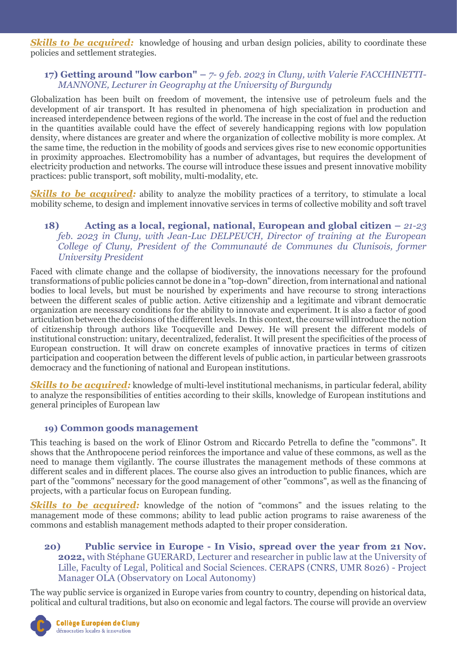**Skills to be acquired:** knowledge of housing and urban design policies, ability to coordinate these policies and settlement strategies.

## **17) Getting around "low carbon" –** *7- 9 feb. 2023 in Cluny, with Valerie FACCHINETTI-MANNONE, Lecturer in Geography at the University of Burgundy*

Globalization has been built on freedom of movement, the intensive use of petroleum fuels and the development of air transport. It has resulted in phenomena of high specialization in production and increased interdependence between regions of the world. The increase in the cost of fuel and the reduction in the quantities available could have the effect of severely handicapping regions with low population density, where distances are greater and where the organization of collective mobility is more complex. At the same time, the reduction in the mobility of goods and services gives rise to new economic opportunities in proximity approaches. Electromobility has a number of advantages, but requires the development of electricity production and networks. The course will introduce these issues and present innovative mobility practices: public transport, soft mobility, multi-modality, etc.

**Skills to be acquired:** ability to analyze the mobility practices of a territory, to stimulate a local mobility scheme, to design and implement innovative services in terms of collective mobility and soft travel

## **18) Acting as a local, regional, national, European and global citizen –** *21-23 feb. 2023 in Cluny, with Jean-Luc DELPEUCH, Director of training at the European College of Cluny, President of the Communauté de Communes du Clunisois, former University President*

Faced with climate change and the collapse of biodiversity, the innovations necessary for the profound transformations of public policies cannot be done in a "top-down" direction, from international and national bodies to local levels, but must be nourished by experiments and have recourse to strong interactions between the different scales of public action. Active citizenship and a legitimate and vibrant democratic organization are necessary conditions for the ability to innovate and experiment. It is also a factor of good articulation between the decisions of the different levels. In this context, the course will introduce the notion of citizenship through authors like Tocqueville and Dewey. He will present the different models of institutional construction: unitary, decentralized, federalist. It will present the specificities of the process of European construction. It will draw on concrete examples of innovative practices in terms of citizen participation and cooperation between the different levels of public action, in particular between grassroots democracy and the functioning of national and European institutions.

*Skills to be acquired:* knowledge of multi-level institutional mechanisms, in particular federal, ability to analyze the responsibilities of entities according to their skills, knowledge of European institutions and general principles of European law

## **19) Common goods management**

This teaching is based on the work of Elinor Ostrom and Riccardo Petrella to define the "commons". It shows that the Anthropocene period reinforces the importance and value of these commons, as well as the need to manage them vigilantly. The course illustrates the management methods of these commons at different scales and in different places. The course also gives an introduction to public finances, which are part of the "commons" necessary for the good management of other "commons", as well as the financing of projects, with a particular focus on European funding.

**Skills to be acquired:** knowledge of the notion of "commons" and the issues relating to the management mode of these commons; ability to lead public action programs to raise awareness of the commons and establish management methods adapted to their proper consideration.

## **20) Public service in Europe - In Visio, spread over the year from 21 Nov. 2022,** with Stéphane GUERARD, Lecturer and researcher in public law at the University of Lille, Faculty of Legal, Political and Social Sciences. CERAPS (CNRS, UMR 8026) - Project Manager OLA (Observatory on Local Autonomy)

The way public service is organized in Europe varies from country to country, depending on historical data, political and cultural traditions, but also on economic and legal factors. The course will provide an overview